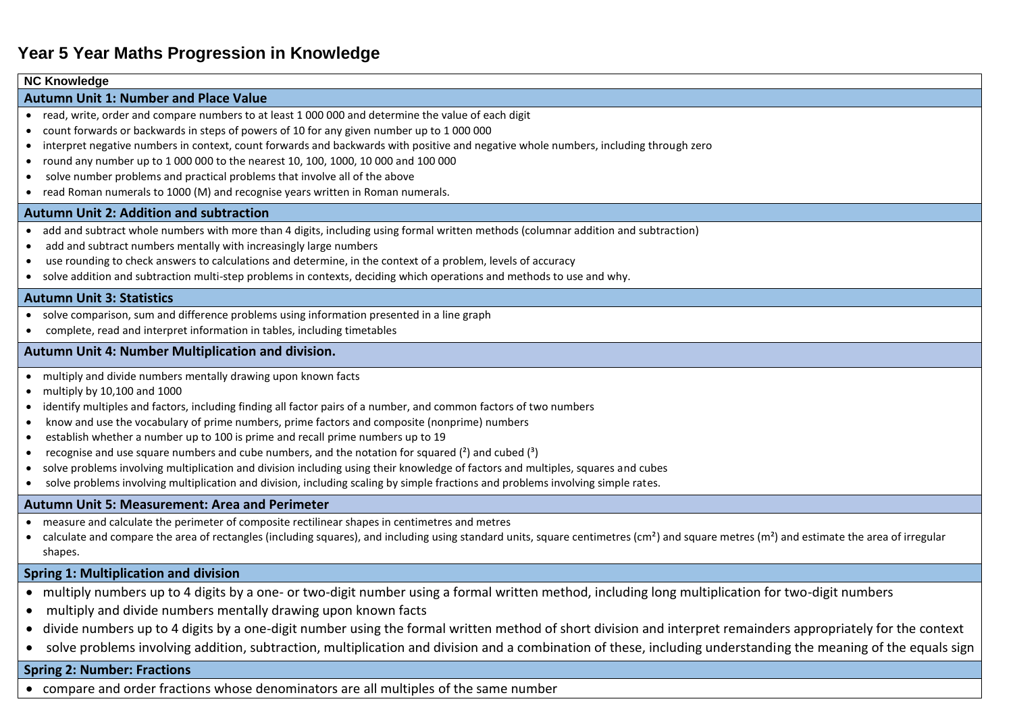### **NC Knowledge**

## **Autumn Unit 1: Number and Place Value**

- read, write, order and compare numbers to at least 1 000 000 and determine the value of each digit
- count forwards or backwards in steps of powers of 10 for any given number up to 1 000 000
- interpret negative numbers in context, count forwards and backwards with positive and negative whole numbers, including through zero
- round any number up to  $1\,000\,000$  to the nearest 10, 100, 1000, 10000 and 100 000
- solve number problems and practical problems that involve all of the above
- read Roman numerals to 1000 (M) and recognise years written in Roman numerals.

## **Autumn Unit 2: Addition and subtraction**

- add and subtract whole numbers with more than 4 digits, including using formal written methods (columnar addition and subtraction)
- add and subtract numbers mentally with increasingly large numbers
- use rounding to check answers to calculations and determine, in the context of a problem, levels of accuracy
- solve addition and subtraction multi-step problems in contexts, deciding which operations and methods to use and why.

## **Autumn Unit 3: Statistics**

- solve comparison, sum and difference problems using information presented in a line graph
- complete, read and interpret information in tables, including timetables

## **Autumn Unit 4: Number Multiplication and division.**

- multiply and divide numbers mentally drawing upon known facts
- multiply by 10,100 and 1000
- identify multiples and factors, including finding all factor pairs of a number, and common factors of two numbers
- know and use the vocabulary of prime numbers, prime factors and composite (nonprime) numbers
- establish whether a number up to 100 is prime and recall prime numbers up to 19
- recognise and use square numbers and cube numbers, and the notation for squared  $(2)$  and cubed  $(3)$
- solve problems involving multiplication and division including using their knowledge of factors and multiples, squares and cubes
- solve problems involving multiplication and division, including scaling by simple fractions and problems involving simple rates.

#### **Autumn Unit 5: Measurement: Area and Perimeter**

- measure and calculate the perimeter of composite rectilinear shapes in centimetres and metres
- calculate and compare the area of rectangles (including squares), and including using standard units, square centimetres (cm<sup>2</sup>) and square metres (m<sup>2</sup>) and estimate the area of irregular shapes.

# **Spring 1: Multiplication and division**

- multiply numbers up to 4 digits by a one- or two-digit number using a formal written method, including long multiplication for two-digit numbers
- multiply and divide numbers mentally drawing upon known facts
- divide numbers up to 4 digits by a one-digit number using the formal written method of short division and interpret remainders appropriately for the context
- solve problems involving addition, subtraction, multiplication and division and a combination of these, including understanding the meaning of the equals sign

## **Spring 2: Number: Fractions**

compare and order fractions whose denominators are all multiples of the same number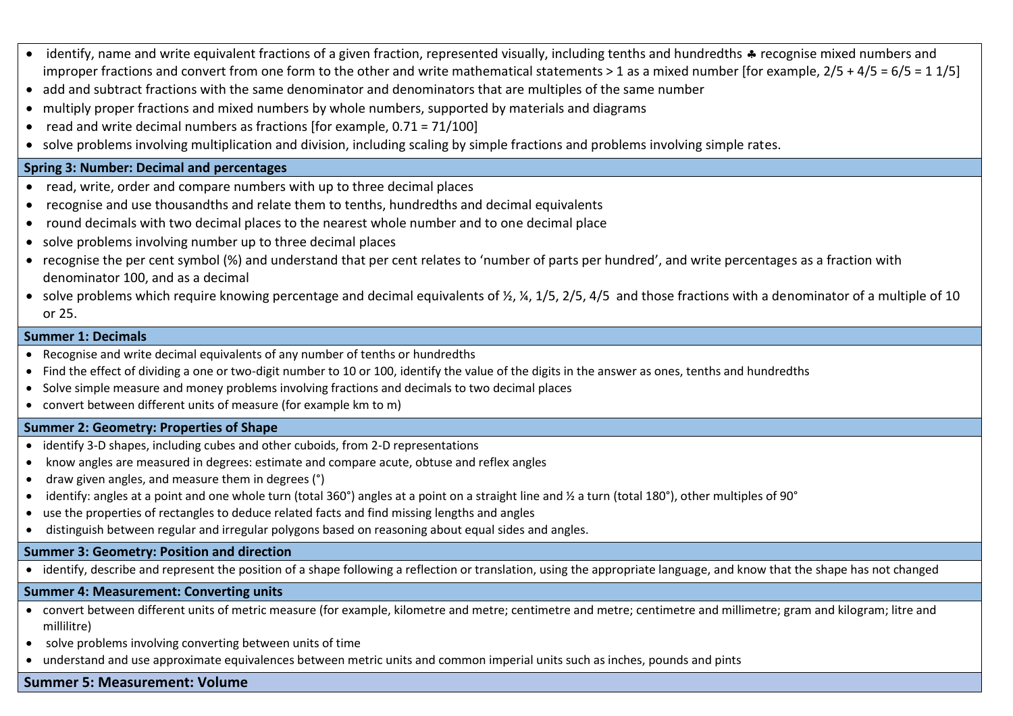- identify, name and write equivalent fractions of a given fraction, represented visually, including tenths and hundredths  $\clubsuit$  recognise mixed numbers and improper fractions and convert from one form to the other and write mathematical statements > 1 as a mixed number [for example,  $2/5 + 4/5 = 6/5 = 11/5$ ]
- add and subtract fractions with the same denominator and denominators that are multiples of the same number
- multiply proper fractions and mixed numbers by whole numbers, supported by materials and diagrams
- read and write decimal numbers as fractions [for example,  $0.71 = 71/100$ ]
- solve problems involving multiplication and division, including scaling by simple fractions and problems involving simple rates.

# **Spring 3: Number: Decimal and percentages**

- read, write, order and compare numbers with up to three decimal places
- recognise and use thousandths and relate them to tenths, hundredths and decimal equivalents
- round decimals with two decimal places to the nearest whole number and to one decimal place
- solve problems involving number up to three decimal places
- recognise the per cent symbol (%) and understand that per cent relates to 'number of parts per hundred', and write percentages as a fraction with denominator 100, and as a decimal
- solve problems which require knowing percentage and decimal equivalents of  $\frac{1}{2}$ ,  $\frac{1}{4}$ ,  $\frac{1}{5}$ ,  $\frac{2}{5}$ ,  $\frac{1}{5}$ ,  $\frac{2}{5}$ ,  $\frac{4}{5}$ ,  $\frac{4}{5}$ , and those fractions with a denominator of a multiple of or 25.

# **Summer 1: Decimals**

- Recognise and write decimal equivalents of any number of tenths or hundredths
- Find the effect of dividing a one or two-digit number to 10 or 100, identify the value of the digits in the answer as ones, tenths and hundredths
- Solve simple measure and money problems involving fractions and decimals to two decimal places
- convert between different units of measure (for example km to m)

# **Summer 2: Geometry: Properties of Shape**

- identify 3-D shapes, including cubes and other cuboids, from 2-D representations
- know angles are measured in degrees: estimate and compare acute, obtuse and reflex angles
- draw given angles, and measure them in degrees (°)
- $\bullet$  identify: angles at a point and one whole turn (total 360°) angles at a point on a straight line and  $\frac{1}{2}$  a turn (total 180°), other multiples of 90°
- use the properties of rectangles to deduce related facts and find missing lengths and angles
- distinguish between regular and irregular polygons based on reasoning about equal sides and angles.

# **Summer 3: Geometry: Position and direction**

identify, describe and represent the position of a shape following a reflection or translation, using the appropriate language, and know that the shape has not changed

# **Summer 4: Measurement: Converting units**

- convert between different units of metric measure (for example, kilometre and metre; centimetre and metre; centimetre and millimetre; gram and kilogram; litre and millilitre)
- solve problems involving converting between units of time
- understand and use approximate equivalences between metric units and common imperial units such as inches, pounds and pints

# **Summer 5: Measurement: Volume**